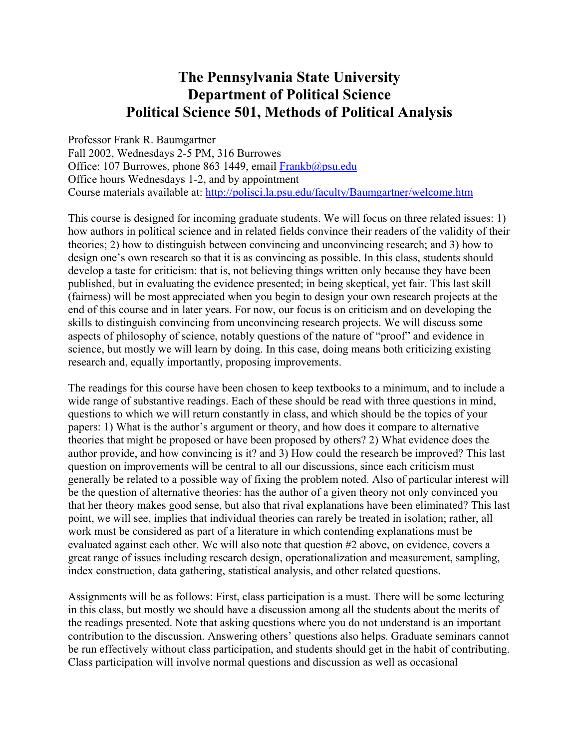# **The Pennsylvania State University Department of Political Science Political Science 501, Methods of Political Analysis**

Professor Frank R. Baumgartner Fall 2002, Wednesdays 2-5 PM, 316 Burrowes Office: 107 Burrowes, phone 863 1449, email Frankb@psu.edu Office hours Wednesdays 1-2, and by appointment Course materials available at: http://polisci.la.psu.edu/faculty/Baumgartner/welcome.htm

This course is designed for incoming graduate students. We will focus on three related issues: 1) how authors in political science and in related fields convince their readers of the validity of their theories; 2) how to distinguish between convincing and unconvincing research; and 3) how to design one's own research so that it is as convincing as possible. In this class, students should develop a taste for criticism: that is, not believing things written only because they have been published, but in evaluating the evidence presented; in being skeptical, yet fair. This last skill (fairness) will be most appreciated when you begin to design your own research projects at the end of this course and in later years. For now, our focus is on criticism and on developing the skills to distinguish convincing from unconvincing research projects. We will discuss some aspects of philosophy of science, notably questions of the nature of "proof" and evidence in science, but mostly we will learn by doing. In this case, doing means both criticizing existing research and, equally importantly, proposing improvements.

The readings for this course have been chosen to keep textbooks to a minimum, and to include a wide range of substantive readings. Each of these should be read with three questions in mind, questions to which we will return constantly in class, and which should be the topics of your papers: 1) What is the author's argument or theory, and how does it compare to alternative theories that might be proposed or have been proposed by others? 2) What evidence does the author provide, and how convincing is it? and 3) How could the research be improved? This last question on improvements will be central to all our discussions, since each criticism must generally be related to a possible way of fixing the problem noted. Also of particular interest will be the question of alternative theories: has the author of a given theory not only convinced you that her theory makes good sense, but also that rival explanations have been eliminated? This last point, we will see, implies that individual theories can rarely be treated in isolation; rather, all work must be considered as part of a literature in which contending explanations must be evaluated against each other. We will also note that question #2 above, on evidence, covers a great range of issues including research design, operationalization and measurement, sampling, index construction, data gathering, statistical analysis, and other related questions.

Assignments will be as follows: First, class participation is a must. There will be some lecturing in this class, but mostly we should have a discussion among all the students about the merits of the readings presented. Note that asking questions where you do not understand is an important contribution to the discussion. Answering others' questions also helps. Graduate seminars cannot be run effectively without class participation, and students should get in the habit of contributing. Class participation will involve normal questions and discussion as well as occasional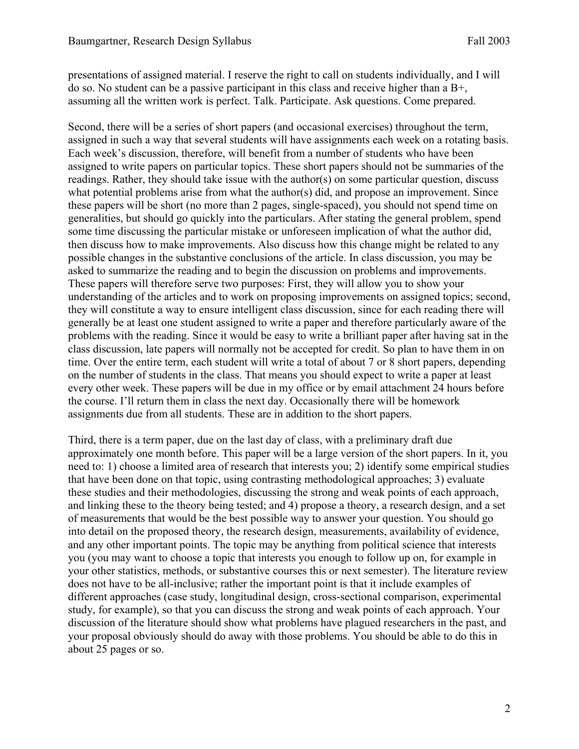presentations of assigned material. I reserve the right to call on students individually, and I will do so. No student can be a passive participant in this class and receive higher than a B+, assuming all the written work is perfect. Talk. Participate. Ask questions. Come prepared.

Second, there will be a series of short papers (and occasional exercises) throughout the term, assigned in such a way that several students will have assignments each week on a rotating basis. Each week's discussion, therefore, will benefit from a number of students who have been assigned to write papers on particular topics. These short papers should not be summaries of the readings. Rather, they should take issue with the author(s) on some particular question, discuss what potential problems arise from what the author(s) did, and propose an improvement. Since these papers will be short (no more than 2 pages, single-spaced), you should not spend time on generalities, but should go quickly into the particulars. After stating the general problem, spend some time discussing the particular mistake or unforeseen implication of what the author did, then discuss how to make improvements. Also discuss how this change might be related to any possible changes in the substantive conclusions of the article. In class discussion, you may be asked to summarize the reading and to begin the discussion on problems and improvements. These papers will therefore serve two purposes: First, they will allow you to show your understanding of the articles and to work on proposing improvements on assigned topics; second, they will constitute a way to ensure intelligent class discussion, since for each reading there will generally be at least one student assigned to write a paper and therefore particularly aware of the problems with the reading. Since it would be easy to write a brilliant paper after having sat in the class discussion, late papers will normally not be accepted for credit. So plan to have them in on time. Over the entire term, each student will write a total of about 7 or 8 short papers, depending on the number of students in the class. That means you should expect to write a paper at least every other week. These papers will be due in my office or by email attachment 24 hours before the course. I'll return them in class the next day. Occasionally there will be homework assignments due from all students. These are in addition to the short papers.

Third, there is a term paper, due on the last day of class, with a preliminary draft due approximately one month before. This paper will be a large version of the short papers. In it, you need to: 1) choose a limited area of research that interests you; 2) identify some empirical studies that have been done on that topic, using contrasting methodological approaches; 3) evaluate these studies and their methodologies, discussing the strong and weak points of each approach, and linking these to the theory being tested; and 4) propose a theory, a research design, and a set of measurements that would be the best possible way to answer your question. You should go into detail on the proposed theory, the research design, measurements, availability of evidence, and any other important points. The topic may be anything from political science that interests you (you may want to choose a topic that interests you enough to follow up on, for example in your other statistics, methods, or substantive courses this or next semester). The literature review does not have to be all-inclusive; rather the important point is that it include examples of different approaches (case study, longitudinal design, cross-sectional comparison, experimental study, for example), so that you can discuss the strong and weak points of each approach. Your discussion of the literature should show what problems have plagued researchers in the past, and your proposal obviously should do away with those problems. You should be able to do this in about 25 pages or so.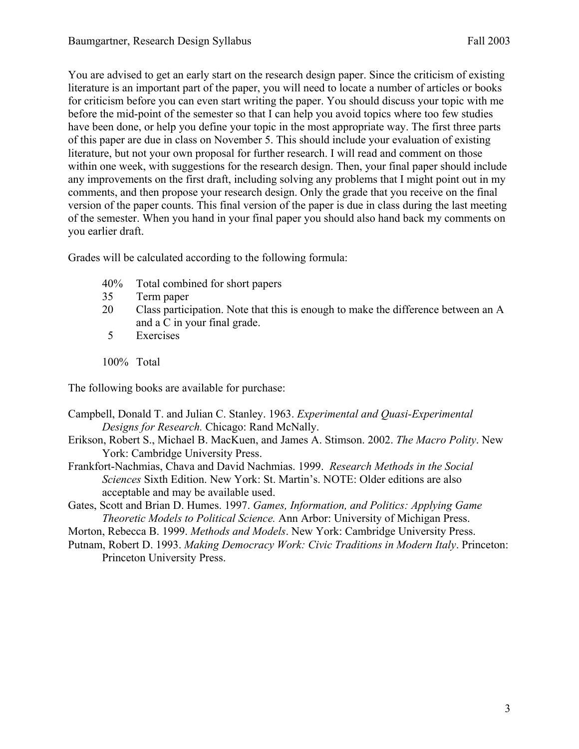You are advised to get an early start on the research design paper. Since the criticism of existing literature is an important part of the paper, you will need to locate a number of articles or books for criticism before you can even start writing the paper. You should discuss your topic with me before the mid-point of the semester so that I can help you avoid topics where too few studies have been done, or help you define your topic in the most appropriate way. The first three parts of this paper are due in class on November 5. This should include your evaluation of existing literature, but not your own proposal for further research. I will read and comment on those within one week, with suggestions for the research design. Then, your final paper should include any improvements on the first draft, including solving any problems that I might point out in my comments, and then propose your research design. Only the grade that you receive on the final version of the paper counts. This final version of the paper is due in class during the last meeting of the semester. When you hand in your final paper you should also hand back my comments on you earlier draft.

Grades will be calculated according to the following formula:

- 40% Total combined for short papers
- 35 Term paper
- 20 Class participation. Note that this is enough to make the difference between an A and a C in your final grade.
- 5 Exercises

100% Total

The following books are available for purchase:

- Campbell, Donald T. and Julian C. Stanley. 1963. *Experimental and Quasi-Experimental Designs for Research.* Chicago: Rand McNally.
- Erikson, Robert S., Michael B. MacKuen, and James A. Stimson. 2002. *The Macro Polity*. New York: Cambridge University Press.
- Frankfort-Nachmias, Chava and David Nachmias. 1999. *Research Methods in the Social Sciences* Sixth Edition. New York: St. Martin's. NOTE: Older editions are also acceptable and may be available used.
- Gates, Scott and Brian D. Humes. 1997. *Games, Information, and Politics: Applying Game Theoretic Models to Political Science.* Ann Arbor: University of Michigan Press.
- Morton, Rebecca B. 1999. *Methods and Models*. New York: Cambridge University Press.
- Putnam, Robert D. 1993. *Making Democracy Work: Civic Traditions in Modern Italy*. Princeton: Princeton University Press.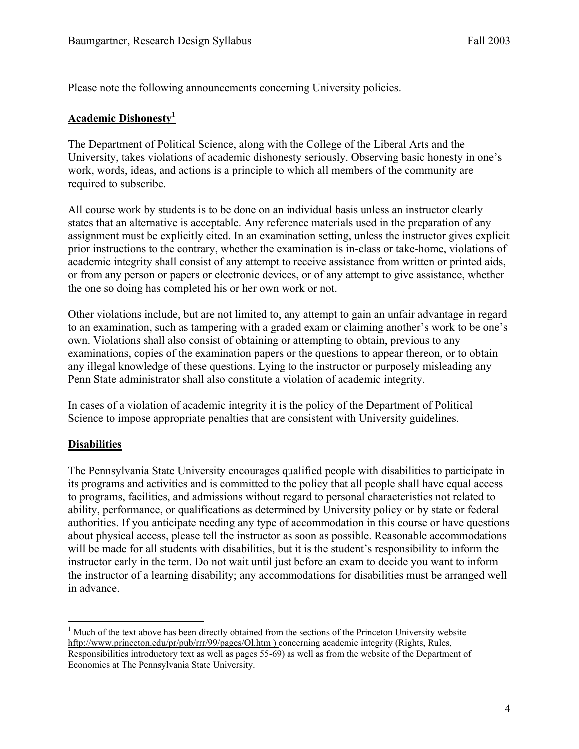Please note the following announcements concerning University policies.

#### **Academic Dishonesty1**

The Department of Political Science, along with the College of the Liberal Arts and the University, takes violations of academic dishonesty seriously. Observing basic honesty in one's work, words, ideas, and actions is a principle to which all members of the community are required to subscribe.

All course work by students is to be done on an individual basis unless an instructor clearly states that an alternative is acceptable. Any reference materials used in the preparation of any assignment must be explicitly cited. In an examination setting, unless the instructor gives explicit prior instructions to the contrary, whether the examination is in-class or take-home, violations of academic integrity shall consist of any attempt to receive assistance from written or printed aids, or from any person or papers or electronic devices, or of any attempt to give assistance, whether the one so doing has completed his or her own work or not.

Other violations include, but are not limited to, any attempt to gain an unfair advantage in regard to an examination, such as tampering with a graded exam or claiming another's work to be one's own. Violations shall also consist of obtaining or attempting to obtain, previous to any examinations, copies of the examination papers or the questions to appear thereon, or to obtain any illegal knowledge of these questions. Lying to the instructor or purposely misleading any Penn State administrator shall also constitute a violation of academic integrity.

In cases of a violation of academic integrity it is the policy of the Department of Political Science to impose appropriate penalties that are consistent with University guidelines.

#### **Disabilities**

The Pennsylvania State University encourages qualified people with disabilities to participate in its programs and activities and is committed to the policy that all people shall have equal access to programs, facilities, and admissions without regard to personal characteristics not related to ability, performance, or qualifications as determined by University policy or by state or federal authorities. If you anticipate needing any type of accommodation in this course or have questions about physical access, please tell the instructor as soon as possible. Reasonable accommodations will be made for all students with disabilities, but it is the student's responsibility to inform the instructor early in the term. Do not wait until just before an exam to decide you want to inform the instructor of a learning disability; any accommodations for disabilities must be arranged well in advance.

 $\overline{a}$ <sup>1</sup> Much of the text above has been directly obtained from the sections of the Princeton University website hftp://www.princeton.edu/pr/pub/rrr/99/pages/Ol.htm ) concerning academic integrity (Rights, Rules, Responsibilities introductory text as well as pages 55-69) as well as from the website of the Department of Economics at The Pennsylvania State University.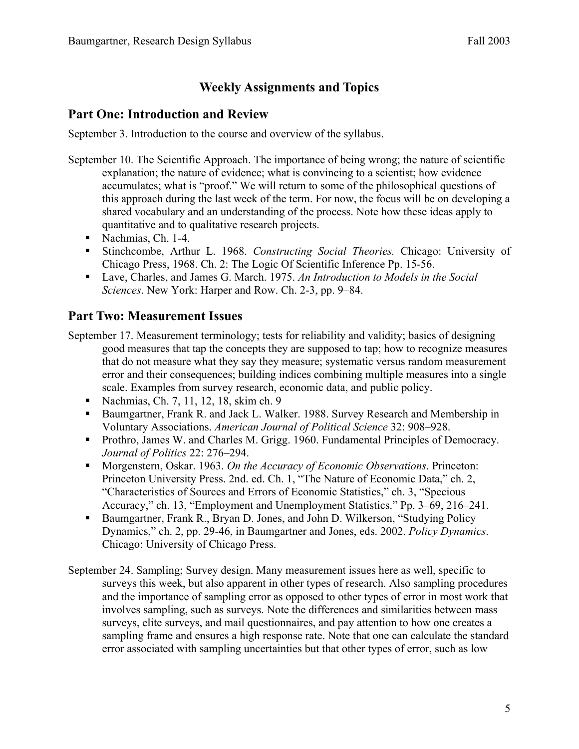## **Weekly Assignments and Topics**

### **Part One: Introduction and Review**

September 3. Introduction to the course and overview of the syllabus.

- September 10. The Scientific Approach. The importance of being wrong; the nature of scientific explanation; the nature of evidence; what is convincing to a scientist; how evidence accumulates; what is "proof." We will return to some of the philosophical questions of this approach during the last week of the term. For now, the focus will be on developing a shared vocabulary and an understanding of the process. Note how these ideas apply to quantitative and to qualitative research projects.
	- Nachmias, Ch. 1-4.
	- Stinchcombe, Arthur L. 1968. *Constructing Social Theories.* Chicago: University of Chicago Press, 1968. Ch. 2: The Logic Of Scientific Inference Pp. 15-56.
	- Lave, Charles, and James G. March. 1975. An Introduction to Models in the Social *Sciences*. New York: Harper and Row. Ch. 2-3, pp. 9–84.

### **Part Two: Measurement Issues**

- September 17. Measurement terminology; tests for reliability and validity; basics of designing good measures that tap the concepts they are supposed to tap; how to recognize measures that do not measure what they say they measure; systematic versus random measurement error and their consequences; building indices combining multiple measures into a single scale. Examples from survey research, economic data, and public policy.
	- Nachmias, Ch. 7, 11, 12, 18, skim ch. 9
	- Baumgartner, Frank R. and Jack L. Walker. 1988. Survey Research and Membership in Voluntary Associations. *American Journal of Political Science* 32: 908–928.
	- **Prothro, James W. and Charles M. Grigg. 1960. Fundamental Principles of Democracy.** *Journal of Politics* 22: 276–294.
	- Morgenstern, Oskar. 1963. *On the Accuracy of Economic Observations*. Princeton: Princeton University Press. 2nd. ed. Ch. 1, "The Nature of Economic Data," ch. 2, "Characteristics of Sources and Errors of Economic Statistics," ch. 3, "Specious Accuracy," ch. 13, "Employment and Unemployment Statistics." Pp. 3–69, 216–241.
	- **Baumgartner, Frank R., Bryan D. Jones, and John D. Wilkerson, "Studying Policy"** Dynamics," ch. 2, pp. 29-46, in Baumgartner and Jones, eds. 2002. *Policy Dynamics*. Chicago: University of Chicago Press.
- September 24. Sampling; Survey design. Many measurement issues here as well, specific to surveys this week, but also apparent in other types of research. Also sampling procedures and the importance of sampling error as opposed to other types of error in most work that involves sampling, such as surveys. Note the differences and similarities between mass surveys, elite surveys, and mail questionnaires, and pay attention to how one creates a sampling frame and ensures a high response rate. Note that one can calculate the standard error associated with sampling uncertainties but that other types of error, such as low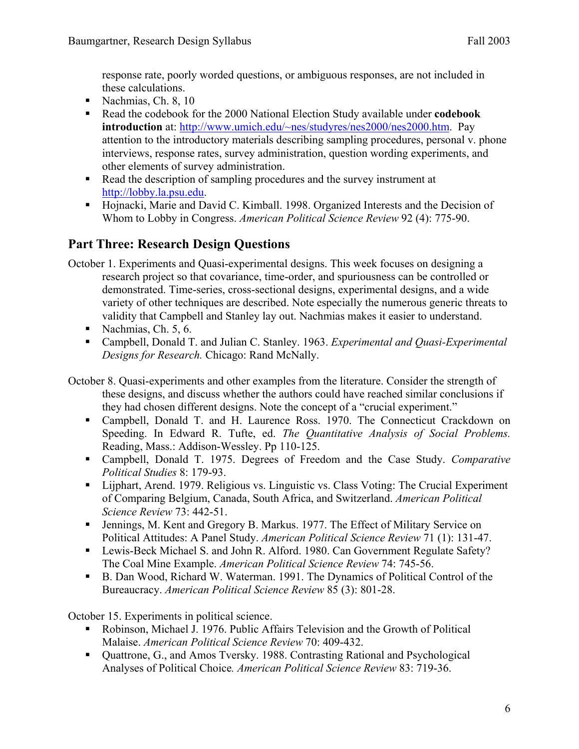response rate, poorly worded questions, or ambiguous responses, are not included in these calculations.

- Nachmias, Ch. 8,  $10$
- Read the codebook for the 2000 National Election Study available under **codebook introduction** at: http://www.umich.edu/~nes/studyres/nes2000/nes2000.htm. Pay attention to the introductory materials describing sampling procedures, personal v. phone interviews, response rates, survey administration, question wording experiments, and other elements of survey administration.
- Read the description of sampling procedures and the survey instrument at http://lobby.la.psu.edu.
- Hojnacki, Marie and David C. Kimball. 1998. Organized Interests and the Decision of Whom to Lobby in Congress. *American Political Science Review* 92 (4): 775-90.

# **Part Three: Research Design Questions**

- October 1. Experiments and Quasi-experimental designs. This week focuses on designing a research project so that covariance, time-order, and spuriousness can be controlled or demonstrated. Time-series, cross-sectional designs, experimental designs, and a wide variety of other techniques are described. Note especially the numerous generic threats to validity that Campbell and Stanley lay out. Nachmias makes it easier to understand.
	- Nachmias, Ch.  $5, 6$ .
	- Campbell, Donald T. and Julian C. Stanley. 1963. *Experimental and Quasi-Experimental Designs for Research.* Chicago: Rand McNally.
- October 8. Quasi-experiments and other examples from the literature. Consider the strength of these designs, and discuss whether the authors could have reached similar conclusions if they had chosen different designs. Note the concept of a "crucial experiment."
	- Campbell, Donald T. and H. Laurence Ross. 1970. The Connecticut Crackdown on Speeding. In Edward R. Tufte, ed. *The Quantitative Analysis of Social Problems.* Reading, Mass.: Addison-Wessley. Pp 110-125.
	- Campbell, Donald T. 1975. Degrees of Freedom and the Case Study. *Comparative Political Studies* 8: 179-93.
	- Lijphart, Arend. 1979. Religious vs. Linguistic vs. Class Voting: The Crucial Experiment of Comparing Belgium, Canada, South Africa, and Switzerland. *American Political Science Review* 73: 442-51.
	- Jennings, M. Kent and Gregory B. Markus. 1977. The Effect of Military Service on Political Attitudes: A Panel Study. *American Political Science Review* 71 (1): 131-47.
	- Lewis-Beck Michael S. and John R. Alford. 1980. Can Government Regulate Safety? The Coal Mine Example. *American Political Science Review* 74: 745-56.
	- B. Dan Wood, Richard W. Waterman. 1991. The Dynamics of Political Control of the Bureaucracy. *American Political Science Review* 85 (3): 801-28.

October 15. Experiments in political science.

- Robinson, Michael J. 1976. Public Affairs Television and the Growth of Political Malaise. *American Political Science Review* 70: 409-432.
- Quattrone, G., and Amos Tversky. 1988. Contrasting Rational and Psychological Analyses of Political Choice*. American Political Science Review* 83: 719-36.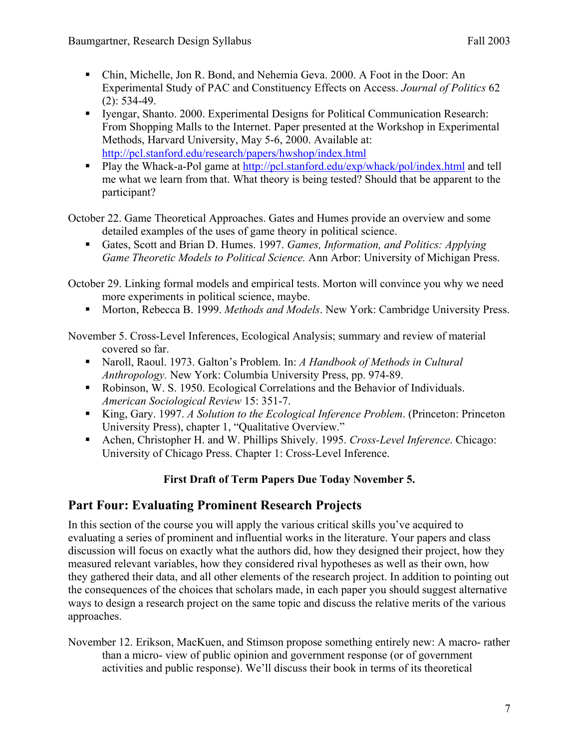- Chin, Michelle, Jon R. Bond, and Nehemia Geva. 2000. A Foot in the Door: An Experimental Study of PAC and Constituency Effects on Access. *Journal of Politics* 62 (2): 534-49.
- Iyengar, Shanto. 2000. Experimental Designs for Political Communication Research: From Shopping Malls to the Internet. Paper presented at the Workshop in Experimental Methods, Harvard University, May 5-6, 2000. Available at: http://pcl.stanford.edu/research/papers/hwshop/index.html
- Play the Whack-a-Pol game at http://pcl.stanford.edu/exp/whack/pol/index.html and tell me what we learn from that. What theory is being tested? Should that be apparent to the participant?

October 22. Game Theoretical Approaches. Gates and Humes provide an overview and some detailed examples of the uses of game theory in political science.

 Gates, Scott and Brian D. Humes. 1997. *Games, Information, and Politics: Applying Game Theoretic Models to Political Science.* Ann Arbor: University of Michigan Press.

October 29. Linking formal models and empirical tests. Morton will convince you why we need more experiments in political science, maybe.

**Morton, Rebecca B. 1999.** *Methods and Models*. New York: Cambridge University Press.

November 5. Cross-Level Inferences, Ecological Analysis; summary and review of material covered so far.

- Naroll, Raoul. 1973. Galton's Problem. In: *A Handbook of Methods in Cultural Anthropology.* New York: Columbia University Press, pp. 974-89.
- Robinson, W. S. 1950. Ecological Correlations and the Behavior of Individuals. *American Sociological Review* 15: 351-7.
- King, Gary. 1997. *A Solution to the Ecological Inference Problem*. (Princeton: Princeton University Press), chapter 1, "Qualitative Overview."
- Achen, Christopher H. and W. Phillips Shively. 1995. *Cross-Level Inference*. Chicago: University of Chicago Press. Chapter 1: Cross-Level Inference.

### **First Draft of Term Papers Due Today November 5.**

### **Part Four: Evaluating Prominent Research Projects**

In this section of the course you will apply the various critical skills you've acquired to evaluating a series of prominent and influential works in the literature. Your papers and class discussion will focus on exactly what the authors did, how they designed their project, how they measured relevant variables, how they considered rival hypotheses as well as their own, how they gathered their data, and all other elements of the research project. In addition to pointing out the consequences of the choices that scholars made, in each paper you should suggest alternative ways to design a research project on the same topic and discuss the relative merits of the various approaches.

November 12. Erikson, MacKuen, and Stimson propose something entirely new: A macro- rather than a micro- view of public opinion and government response (or of government activities and public response). We'll discuss their book in terms of its theoretical